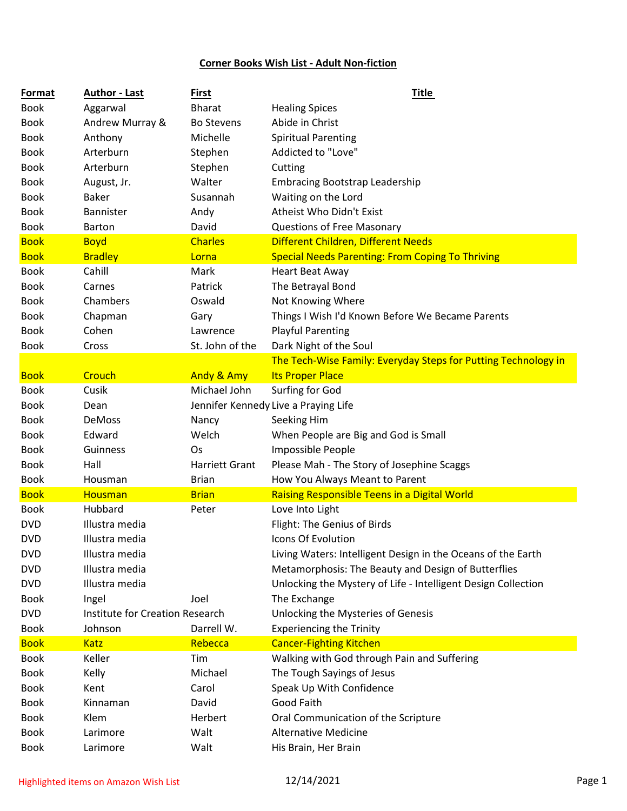## **Corner Books Wish List - Adult Non-fiction**

| Format      | <b>Author - Last</b>            | First                 | <b>Title</b>                                                   |
|-------------|---------------------------------|-----------------------|----------------------------------------------------------------|
| <b>Book</b> | Aggarwal                        | <b>Bharat</b>         | <b>Healing Spices</b>                                          |
| <b>Book</b> | Andrew Murray &                 | <b>Bo Stevens</b>     | Abide in Christ                                                |
| <b>Book</b> | Anthony                         | Michelle              | <b>Spiritual Parenting</b>                                     |
| <b>Book</b> | Arterburn                       | Stephen               | Addicted to "Love"                                             |
| <b>Book</b> | Arterburn                       | Stephen               | Cutting                                                        |
| <b>Book</b> | August, Jr.                     | Walter                | <b>Embracing Bootstrap Leadership</b>                          |
| <b>Book</b> | <b>Baker</b>                    | Susannah              | Waiting on the Lord                                            |
| <b>Book</b> | Bannister                       | Andy                  | Atheist Who Didn't Exist                                       |
| <b>Book</b> | <b>Barton</b>                   | David                 | <b>Questions of Free Masonary</b>                              |
| <b>Book</b> | <b>Boyd</b>                     | <b>Charles</b>        | Different Children, Different Needs                            |
| <b>Book</b> | <b>Bradley</b>                  | Lorna                 | <b>Special Needs Parenting: From Coping To Thriving</b>        |
| <b>Book</b> | Cahill                          | Mark                  | <b>Heart Beat Away</b>                                         |
| <b>Book</b> | Carnes                          | Patrick               | The Betrayal Bond                                              |
| <b>Book</b> | Chambers                        | Oswald                | Not Knowing Where                                              |
| <b>Book</b> | Chapman                         | Gary                  | Things I Wish I'd Known Before We Became Parents               |
| <b>Book</b> | Cohen                           | Lawrence              | <b>Playful Parenting</b>                                       |
| <b>Book</b> | Cross                           | St. John of the       | Dark Night of the Soul                                         |
|             |                                 |                       | The Tech-Wise Family: Everyday Steps for Putting Technology in |
| <b>Book</b> | Crouch                          | <b>Andy &amp; Amy</b> | <b>Its Proper Place</b>                                        |
| <b>Book</b> | Cusik                           | Michael John          | Surfing for God                                                |
| <b>Book</b> | Dean                            |                       | Jennifer Kennedy Live a Praying Life                           |
| <b>Book</b> | DeMoss                          | Nancy                 | Seeking Him                                                    |
| <b>Book</b> | Edward                          | Welch                 | When People are Big and God is Small                           |
| <b>Book</b> | Guinness                        | Os                    | Impossible People                                              |
| <b>Book</b> | Hall                            | Harriett Grant        | Please Mah - The Story of Josephine Scaggs                     |
| <b>Book</b> | Housman                         | <b>Brian</b>          | How You Always Meant to Parent                                 |
| <b>Book</b> | Housman                         | <b>Brian</b>          | Raising Responsible Teens in a Digital World                   |
| <b>Book</b> | Hubbard                         | Peter                 | Love Into Light                                                |
| <b>DVD</b>  | Illustra media                  |                       | Flight: The Genius of Birds                                    |
| <b>DVD</b>  | Illustra media                  |                       | Icons Of Evolution                                             |
| <b>DVD</b>  | Illustra media                  |                       | Living Waters: Intelligent Design in the Oceans of the Earth   |
| <b>DVD</b>  | Illustra media                  |                       | Metamorphosis: The Beauty and Design of Butterflies            |
| <b>DVD</b>  | Illustra media                  |                       | Unlocking the Mystery of Life - Intelligent Design Collection  |
| <b>Book</b> | Ingel                           | Joel                  | The Exchange                                                   |
| <b>DVD</b>  | Institute for Creation Research |                       | Unlocking the Mysteries of Genesis                             |
| <b>Book</b> | Johnson                         | Darrell W.            | <b>Experiencing the Trinity</b>                                |
| <b>Book</b> | <b>Katz</b>                     | Rebecca               | <b>Cancer-Fighting Kitchen</b>                                 |
| <b>Book</b> | Keller                          | Tim                   | Walking with God through Pain and Suffering                    |
| <b>Book</b> | Kelly                           | Michael               | The Tough Sayings of Jesus                                     |
| <b>Book</b> | Kent                            | Carol                 | Speak Up With Confidence                                       |
| <b>Book</b> | Kinnaman                        | David                 | Good Faith                                                     |
| <b>Book</b> | Klem                            | Herbert               | Oral Communication of the Scripture                            |
| <b>Book</b> | Larimore                        | Walt                  | <b>Alternative Medicine</b>                                    |
| <b>Book</b> | Larimore                        | Walt                  | His Brain, Her Brain                                           |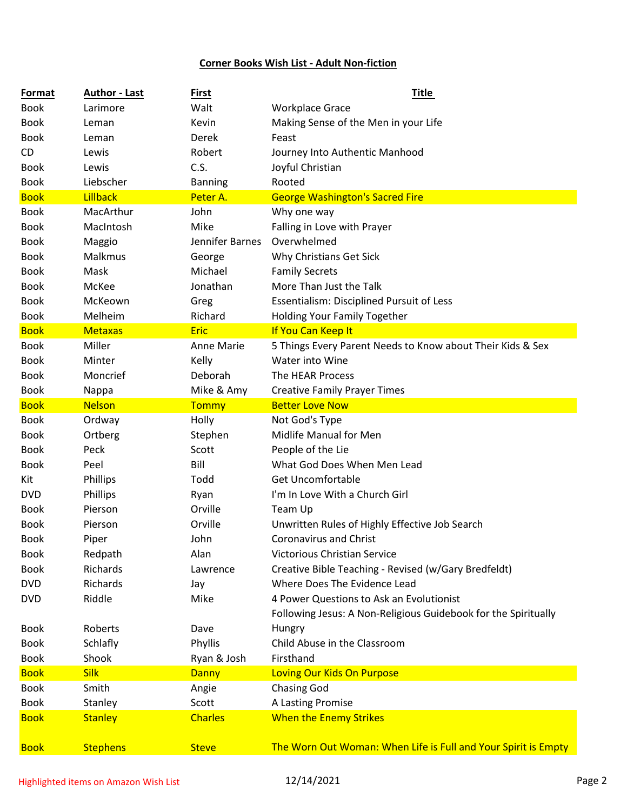## **Corner Books Wish List - Adult Non-fiction**

| Format      | <b>Author - Last</b> | <b>First</b>    | <b>Title</b>                                                   |
|-------------|----------------------|-----------------|----------------------------------------------------------------|
| <b>Book</b> | Larimore             | Walt            | <b>Workplace Grace</b>                                         |
| <b>Book</b> | Leman                | Kevin           | Making Sense of the Men in your Life                           |
| <b>Book</b> | Leman                | Derek           | Feast                                                          |
| CD.         | Lewis                | Robert          | Journey Into Authentic Manhood                                 |
| <b>Book</b> | Lewis                | C.S.            | Joyful Christian                                               |
| <b>Book</b> | Liebscher            | <b>Banning</b>  | Rooted                                                         |
| <b>Book</b> | Lillback             | Peter A.        | <b>George Washington's Sacred Fire</b>                         |
| <b>Book</b> | MacArthur            | John            | Why one way                                                    |
| <b>Book</b> | MacIntosh            | Mike            | Falling in Love with Prayer                                    |
| <b>Book</b> | Maggio               | Jennifer Barnes | Overwhelmed                                                    |
| <b>Book</b> | Malkmus              | George          | Why Christians Get Sick                                        |
| <b>Book</b> | Mask                 | Michael         | <b>Family Secrets</b>                                          |
| <b>Book</b> | McKee                | Jonathan        | More Than Just the Talk                                        |
| <b>Book</b> | McKeown              | Greg            | <b>Essentialism: Disciplined Pursuit of Less</b>               |
| <b>Book</b> | Melheim              | Richard         | <b>Holding Your Family Together</b>                            |
| <b>Book</b> | <b>Metaxas</b>       | <b>Eric</b>     | If You Can Keep It                                             |
| <b>Book</b> | Miller               | Anne Marie      | 5 Things Every Parent Needs to Know about Their Kids & Sex     |
| <b>Book</b> | Minter               | Kelly           | Water into Wine                                                |
| <b>Book</b> | Moncrief             | Deborah         | The HEAR Process                                               |
| <b>Book</b> | Nappa                | Mike & Amy      | <b>Creative Family Prayer Times</b>                            |
| <b>Book</b> | <b>Nelson</b>        | Tommy           | <b>Better Love Now</b>                                         |
| <b>Book</b> | Ordway               | Holly           | Not God's Type                                                 |
| <b>Book</b> | Ortberg              | Stephen         | Midlife Manual for Men                                         |
| <b>Book</b> | Peck                 | Scott           | People of the Lie                                              |
| <b>Book</b> | Peel                 | Bill            | What God Does When Men Lead                                    |
| Kit         | Phillips             | Todd            | <b>Get Uncomfortable</b>                                       |
| <b>DVD</b>  | Phillips             | Ryan            | I'm In Love With a Church Girl                                 |
| <b>Book</b> | Pierson              | Orville         | Team Up                                                        |
| <b>Book</b> | Pierson              | Orville         | Unwritten Rules of Highly Effective Job Search                 |
| <b>Book</b> | Piper                | John            | Coronavirus and Christ                                         |
| <b>Book</b> | Redpath              | Alan            | <b>Victorious Christian Service</b>                            |
| <b>Book</b> | Richards             | Lawrence        | Creative Bible Teaching - Revised (w/Gary Bredfeldt)           |
| <b>DVD</b>  | Richards             | Jay             | Where Does The Evidence Lead                                   |
| <b>DVD</b>  | Riddle               | Mike            | 4 Power Questions to Ask an Evolutionist                       |
|             |                      |                 | Following Jesus: A Non-Religious Guidebook for the Spiritually |
| <b>Book</b> | Roberts              | Dave            | Hungry                                                         |
| <b>Book</b> | Schlafly             | Phyllis         | Child Abuse in the Classroom                                   |
| <b>Book</b> | Shook                | Ryan & Josh     | Firsthand                                                      |
| <b>Book</b> | <b>Silk</b>          | Danny           | Loving Our Kids On Purpose                                     |
| <b>Book</b> | Smith                | Angie           | <b>Chasing God</b>                                             |
| <b>Book</b> | Stanley              | Scott           | A Lasting Promise                                              |
| <b>Book</b> | <b>Stanley</b>       | <b>Charles</b>  | <b>When the Enemy Strikes</b>                                  |
|             |                      |                 |                                                                |
| <b>Book</b> | <b>Stephens</b>      | <b>Steve</b>    | The Worn Out Woman: When Life is Full and Your Spirit is Empty |